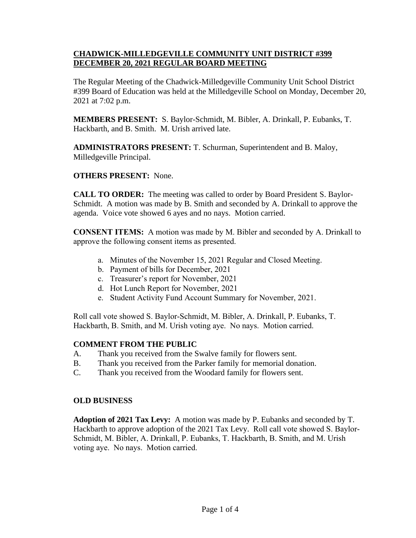## **CHADWICK-MILLEDGEVILLE COMMUNITY UNIT DISTRICT #399 DECEMBER 20, 2021 REGULAR BOARD MEETING**

The Regular Meeting of the Chadwick-Milledgeville Community Unit School District #399 Board of Education was held at the Milledgeville School on Monday, December 20, 2021 at 7:02 p.m.

**MEMBERS PRESENT:** S. Baylor-Schmidt, M. Bibler, A. Drinkall, P. Eubanks, T. Hackbarth, and B. Smith. M. Urish arrived late.

**ADMINISTRATORS PRESENT:** T. Schurman, Superintendent and B. Maloy, Milledgeville Principal.

## **OTHERS PRESENT:** None.

**CALL TO ORDER:** The meeting was called to order by Board President S. Baylor-Schmidt. A motion was made by B. Smith and seconded by A. Drinkall to approve the agenda. Voice vote showed 6 ayes and no nays. Motion carried.

**CONSENT ITEMS:** A motion was made by M. Bibler and seconded by A. Drinkall to approve the following consent items as presented.

- a. Minutes of the November 15, 2021 Regular and Closed Meeting.
- b. Payment of bills for December, 2021
- c. Treasurer's report for November, 2021
- d. Hot Lunch Report for November, 2021
- e. Student Activity Fund Account Summary for November, 2021.

Roll call vote showed S. Baylor-Schmidt, M. Bibler, A. Drinkall, P. Eubanks, T. Hackbarth, B. Smith, and M. Urish voting aye. No nays. Motion carried.

## **COMMENT FROM THE PUBLIC**

- A. Thank you received from the Swalve family for flowers sent.
- B. Thank you received from the Parker family for memorial donation.
- C. Thank you received from the Woodard family for flowers sent.

## **OLD BUSINESS**

**Adoption of 2021 Tax Levy:** A motion was made by P. Eubanks and seconded by T. Hackbarth to approve adoption of the 2021 Tax Levy. Roll call vote showed S. Baylor-Schmidt, M. Bibler, A. Drinkall, P. Eubanks, T. Hackbarth, B. Smith, and M. Urish voting aye. No nays. Motion carried.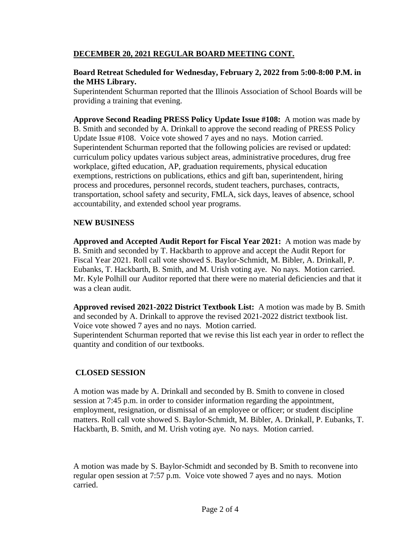## **DECEMBER 20, 2021 REGULAR BOARD MEETING CONT.**

## **Board Retreat Scheduled for Wednesday, February 2, 2022 from 5:00-8:00 P.M. in the MHS Library.**

Superintendent Schurman reported that the Illinois Association of School Boards will be providing a training that evening.

**Approve Second Reading PRESS Policy Update Issue #108:** A motion was made by B. Smith and seconded by A. Drinkall to approve the second reading of PRESS Policy Update Issue #108. Voice vote showed 7 ayes and no nays. Motion carried. Superintendent Schurman reported that the following policies are revised or updated: curriculum policy updates various subject areas, administrative procedures, drug free workplace, gifted education, AP, graduation requirements, physical education exemptions, restrictions on publications, ethics and gift ban, superintendent, hiring process and procedures, personnel records, student teachers, purchases, contracts, transportation, school safety and security, FMLA, sick days, leaves of absence, school accountability, and extended school year programs.

## **NEW BUSINESS**

**Approved and Accepted Audit Report for Fiscal Year 2021:** A motion was made by B. Smith and seconded by T. Hackbarth to approve and accept the Audit Report for Fiscal Year 2021. Roll call vote showed S. Baylor-Schmidt, M. Bibler, A. Drinkall, P. Eubanks, T. Hackbarth, B. Smith, and M. Urish voting aye. No nays. Motion carried. Mr. Kyle Polhill our Auditor reported that there were no material deficiencies and that it was a clean audit.

**Approved revised 2021-2022 District Textbook List:** A motion was made by B. Smith and seconded by A. Drinkall to approve the revised 2021-2022 district textbook list. Voice vote showed 7 ayes and no nays. Motion carried.

Superintendent Schurman reported that we revise this list each year in order to reflect the quantity and condition of our textbooks.

## **CLOSED SESSION**

A motion was made by A. Drinkall and seconded by B. Smith to convene in closed session at 7:45 p.m. in order to consider information regarding the appointment, employment, resignation, or dismissal of an employee or officer; or student discipline matters. Roll call vote showed S. Baylor-Schmidt, M. Bibler, A. Drinkall, P. Eubanks, T. Hackbarth, B. Smith, and M. Urish voting aye. No nays. Motion carried.

A motion was made by S. Baylor-Schmidt and seconded by B. Smith to reconvene into regular open session at 7:57 p.m. Voice vote showed 7 ayes and no nays. Motion carried.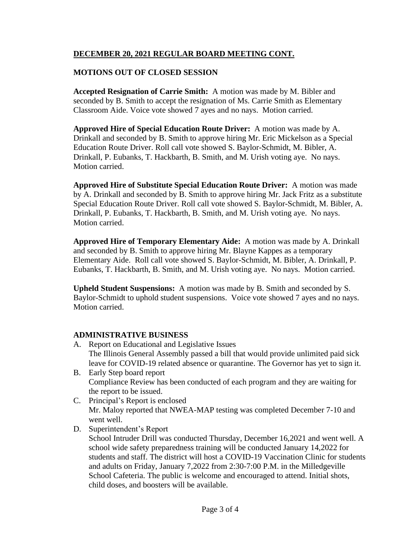# **DECEMBER 20, 2021 REGULAR BOARD MEETING CONT.**

# **MOTIONS OUT OF CLOSED SESSION**

**Accepted Resignation of Carrie Smith:** A motion was made by M. Bibler and seconded by B. Smith to accept the resignation of Ms. Carrie Smith as Elementary Classroom Aide. Voice vote showed 7 ayes and no nays. Motion carried.

**Approved Hire of Special Education Route Driver:** A motion was made by A. Drinkall and seconded by B. Smith to approve hiring Mr. Eric Mickelson as a Special Education Route Driver. Roll call vote showed S. Baylor-Schmidt, M. Bibler, A. Drinkall, P. Eubanks, T. Hackbarth, B. Smith, and M. Urish voting aye. No nays. Motion carried.

**Approved Hire of Substitute Special Education Route Driver:** A motion was made by A. Drinkall and seconded by B. Smith to approve hiring Mr. Jack Fritz as a substitute Special Education Route Driver. Roll call vote showed S. Baylor-Schmidt, M. Bibler, A. Drinkall, P. Eubanks, T. Hackbarth, B. Smith, and M. Urish voting aye. No nays. Motion carried.

**Approved Hire of Temporary Elementary Aide:** A motion was made by A. Drinkall and seconded by B. Smith to approve hiring Mr. Blayne Kappes as a temporary Elementary Aide. Roll call vote showed S. Baylor-Schmidt, M. Bibler, A. Drinkall, P. Eubanks, T. Hackbarth, B. Smith, and M. Urish voting aye. No nays. Motion carried.

**Upheld Student Suspensions:** A motion was made by B. Smith and seconded by S. Baylor-Schmidt to uphold student suspensions. Voice vote showed 7 ayes and no nays. Motion carried.

## **ADMINISTRATIVE BUSINESS**

- A. Report on Educational and Legislative Issues The Illinois General Assembly passed a bill that would provide unlimited paid sick leave for COVID-19 related absence or quarantine. The Governor has yet to sign it.
- B. Early Step board report Compliance Review has been conducted of each program and they are waiting for the report to be issued.
- C. Principal's Report is enclosed Mr. Maloy reported that NWEA-MAP testing was completed December 7-10 and went well.
- D. Superintendent's Report

School Intruder Drill was conducted Thursday, December 16,2021 and went well. A school wide safety preparedness training will be conducted January 14,2022 for students and staff. The district will host a COVID-19 Vaccination Clinic for students and adults on Friday, January 7,2022 from 2:30-7:00 P.M. in the Milledgeville School Cafeteria. The public is welcome and encouraged to attend. Initial shots, child doses, and boosters will be available.